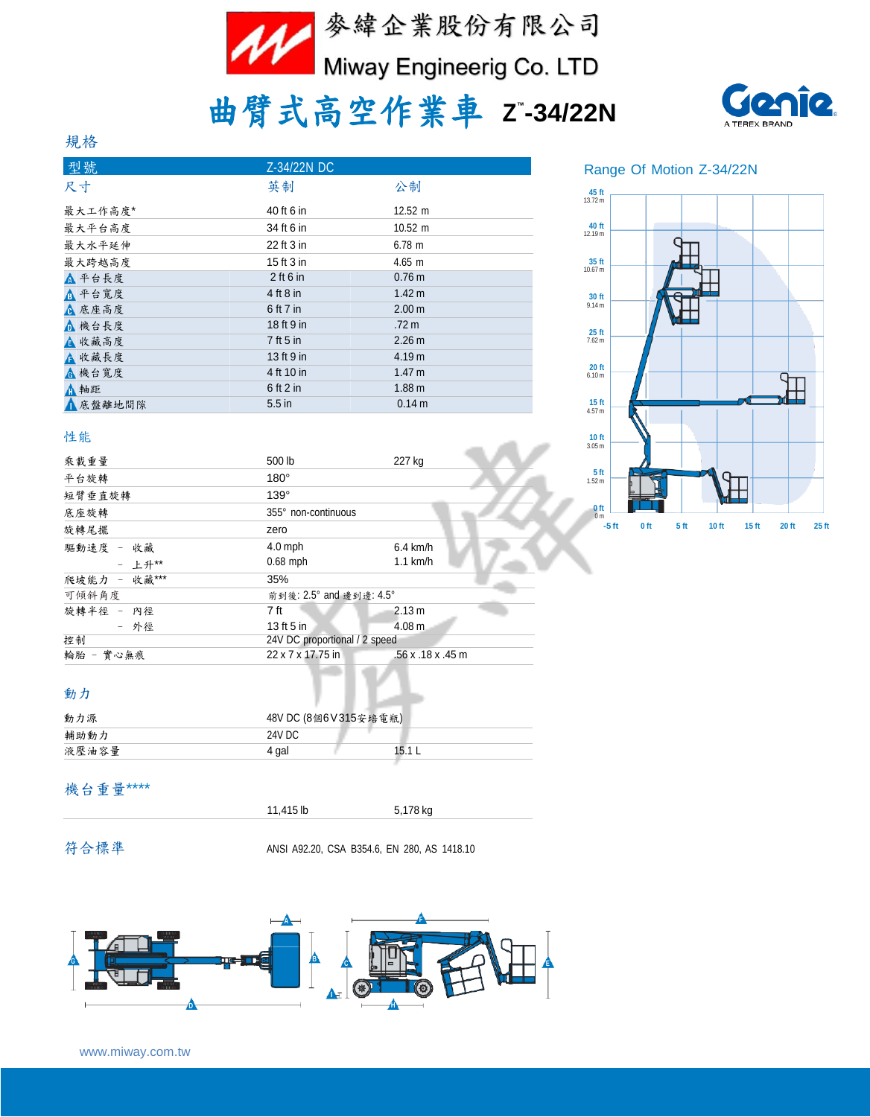

# 曲臂式高空作業車 **<sup>Z</sup> ™ -34/22N**



#### 規格

| 型號      | Z-34/22N DC |                   |
|---------|-------------|-------------------|
| 尺寸      | 英制          | 公制                |
| 最大工作高度* | 40 ft 6 in  | $12.52 \text{ m}$ |
| 最大平台高度  | 34 ft 6 in  | $10.52 \text{ m}$ |
| 最大水平延伸  | 22 ft 3 in  | 6.78 m            |
| 最大跨越高度  | 15 ft 3 in  | $4.65 \; m$       |
| △ 平台長度  | $2$ ft 6 in | 0.76 <sub>m</sub> |
| ▲ 平台寬度  | 4 ft 8 in   | 1.42 m            |
| ▲ 底座高度  | 6 ft 7 in   | 2.00 <sub>m</sub> |
| △ 機台長度  | 18 ft 9 in  | $.72 \text{ m}$   |
| ▲ 收藏高度  | 7 ft 5 in   | 2.26 m            |
| ▲ 收藏長度  | 13 ft 9 in  | 4.19 m            |
| ▲ 機台寬度  | 4 ft 10 in  | 1.47 m            |
| ▲軸距     | $6$ ft 2 in | 1.88 <sub>m</sub> |
| ▲底盤離地間隙 | $5.5$ in    | 0.14 m            |

#### Range Of Motion Z-34/22N



#### 性能

| 乘載重量                      | 500 lb                        | 227 kg            |                                      |                 |                 |       |                           |       |
|---------------------------|-------------------------------|-------------------|--------------------------------------|-----------------|-----------------|-------|---------------------------|-------|
| 平台旋轉                      | $180^\circ$                   |                   | 5 <sub>ft</sub><br>1.52 <sub>m</sub> |                 |                 |       |                           |       |
| 短臂垂直旋轉                    | $139^\circ$                   |                   |                                      |                 |                 |       |                           |       |
| 底座旋轉                      | 355° non-continuous           |                   | $0$ ft                               |                 |                 |       |                           |       |
| 旋轉尾擺                      | zero                          |                   | $-5$ ft                              | 0 <sub>ft</sub> | 5 <sub>ft</sub> | 10 ft | 20 ft<br>15 <sub>ft</sub> | 25 ft |
| 驅動速度<br>收藏<br>$\sim$      | $4.0$ mph                     | $6.4$ km/h        |                                      |                 |                 |       |                           |       |
| - 上升**                    | $0.68$ mph                    | $1.1$ km/h        |                                      |                 |                 |       |                           |       |
| 收藏***<br>爬坡能力<br>$\equiv$ | 35%                           |                   |                                      |                 |                 |       |                           |       |
| 可傾斜角度                     | 前到後: 2.5° and 邊到邊: 4.5°       |                   |                                      |                 |                 |       |                           |       |
| 旋轉半徑 -<br>內徑              | 7 ft                          | 2.13 m            |                                      |                 |                 |       |                           |       |
| - 外徑                      | 13 ft 5 in                    | 4.08 <sub>m</sub> |                                      |                 |                 |       |                           |       |
| 控制                        | 24V DC proportional / 2 speed |                   |                                      |                 |                 |       |                           |       |
| 輪胎 - 實心無痕                 | 22 x 7 x 17.75 in             | .56 x .18 x .45 m |                                      |                 |                 |       |                           |       |
|                           |                               |                   |                                      |                 |                 |       |                           |       |

#### 動力

| 動力源   | 48V DC (8個6V315安培電瓶) |  |
|-------|----------------------|--|
| 輔助動力  | 24V DC               |  |
| 液壓油容量 | 15.1<br>4 gal        |  |

#### 機台重量\*\*\*\*

| 11,415 lb | 5.178 kg |  |
|-----------|----------|--|
|           |          |  |

符合標準 ANSI A92.20, CSA B354.6, EN 280, AS 1418.10